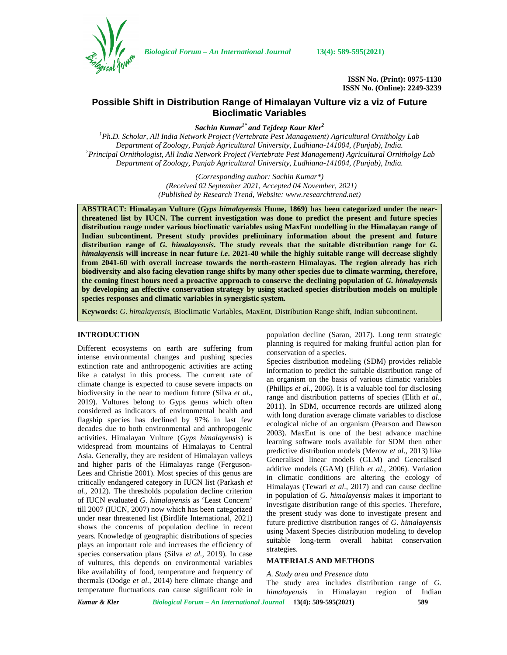

*Biological Forum – An International Journal* **13(4): 589-595(2021)**

**ISSN No. (Print): 0975-1130 ISSN No. (Online): 2249-3239**

# **Possible Shift in Distribution Range of Himalayan Vulture viz a viz of Future Bioclimatic Variables**

*Sachin Kumar1\* and Tejdeep Kaur Kler<sup>2</sup>*

*<sup>1</sup>Ph.D. Scholar, All India Network Project (Vertebrate Pest Management) Agricultural Ornitholgy Lab* Department of Zoology, Punjab Agricultural University, Ludhiana-141004, (Punjab), India.<br>Principal Ornithologist, All India Network Project (Vertebrate Pest Management) Agricultural Ornitholgy Lab<sup>2</sup> *Department of Zoology, Punjab Agricultural University, Ludhiana-141004, (Punjab), India.*

> *(Corresponding author: Sachin Kumar\*) (Received 02 September 2021, Accepted 04 November, 2021) (Published by Research Trend, Website: [www.researchtrend.net\)](www.researchtrend.net)*

**ABSTRACT: Himalayan Vulture (***Gyps himalayensis* **Hume, 1869) has been categorized under the nearthreatened list by IUCN. The current investigation was done to predict the present and future species distribution range under various bioclimatic variables using MaxEnt modelling in the Himalayan range of Indian subcontinent. Present study provides preliminary information about the present and future distribution range of** *G. himalayensis.* **The study reveals that the suitable distribution range for** *G. himalayensis* **will increase in near future** *i.e***. 2021-40 while the highly suitable range will decrease slightly from 2041-60 with overall increase towards the north-eastern Himalayas. The region already has rich biodiversity and also facing elevation range shifts by many other species due to climate warming, therefore, the coming finest hours need a proactive approach to conserve the declining population of** *G. himalayensis* **by developing an effective conservation strategy by using stacked species distribution models on multiple species responses and climatic variables in synergistic system.**

**Keywords:** *G. himalayensis,* Bioclimatic Variables, MaxEnt, Distribution Range shift, Indian subcontinent.

## **INTRODUCTION**

Different ecosystems on earth are suffering from intense environmental changes and pushing species extinction rate and anthropogenic activities are acting like a catalyst in this process. The current rate of climate change is expected to cause severe impacts on biodiversity in the near to medium future (Silva *et al*., 2019). Vultures belong to Gyps genus which often considered as indicators of environmental health and flagship species has declined by 97% in last few decades due to both environmental and anthropogenic activities. Himalayan Vulture (*Gyps himalayensis*) is widespread from mountains of Himalayas to Central Asia. Generally, they are resident of Himalayan valleys and higher parts of the Himalayas range (Ferguson- Lees and Christie 2001). Most species of this genus are critically endangered category in IUCN list (Parkash *et al.,* 2012). The thresholds population decline criterion of IUCN evaluated *G. himalayensis* as 'Least Concern' till 2007 (IUCN, 2007) now which has been categorized under near threatened list (Birdlife International, 2021) shows the concerns of population decline in recent years. Knowledge of geographic distributions of species plays an important role and increases the efficiency of species conservation plans (Silva *et al.,* 2019). In case of vultures, this depends on environmental variables like availability of food, temperature and frequency of thermals (Dodge *et al.,* 2014) here climate change and temperature fluctuations can cause significant role in

population decline (Saran, 2017). Long term strategic planning is required for making fruitful action plan for conservation of a species.

Species distribution modeling (SDM) provides reliable information to predict the suitable distribution range of an organism on the basis of various climatic variables (Phillips *et al.,* 2006). It is a valuable tool for disclosing range and distribution patterns of species (Elith *et al.,* 2011). In SDM, occurrence records are utilized along with long duration average climate variables to disclose ecological niche of an organism (Pearson and Dawson 2003). MaxEnt is one of the best advance machine learning software tools available for SDM then other predictive distribution models (Merow *et al*., 2013) like Generalised linear models (GLM) and Generalised additive models (GAM) (Elith *et al.,* 2006). Variation in climatic conditions are altering the ecology of Himalayas (Tewari *et al*., 2017) and can cause decline in population of *G. himalayensis* makes it important to investigate distribution range of this species. Therefore, the present study was done to investigate present and future predictive distribution ranges of *G. himalayensis* using Maxent Species distribution modeling to develop suitable long-term overall habitat conservation strategies.

### **MATERIALS AND METHODS**

#### *A. Study area and Presence data*

The study area includes distribution range of *G. himalayensis* in Himalayan region of Indian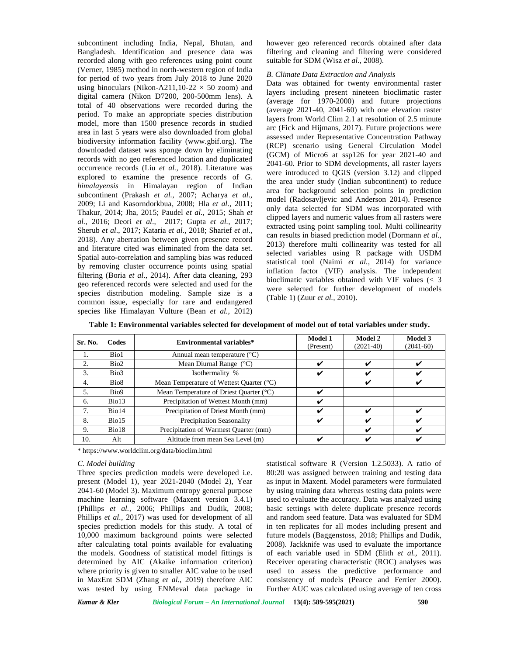subcontinent including India, Nepal, Bhutan, and Bangladesh. Identification and presence data was recorded along with geo references using point count (Verner, 1985) method in north-western region of India for period of two years from July 2018 to June 2020 using binoculars (Nikon-A211,10-22  $\times$  50 zoom) and digital camera (Nikon D7200, 200-500mm lens). A total of 40 observations were recorded during the period. To make an appropriate species distribution model, more than 1500 presence records in studied area in last 5 years were also downloaded from global biodiversity information facility (<www.gbif.org>). The downloaded dataset was sponge down by eliminating records with no geo referenced location and duplicated occurrence records (Liu *et al.,* 2018). Literature was explored to examine the presence records of *G. himalayensis* in Himalayan region of Indian subcontinent (Prakash *et al.,* 2007; Acharya *et al*., 2009; Li and Kasorndorkbua, 2008; Hla *et al.,* 2011; Thakur, 2014; Jha, 2015; Paudel *et al.,* 2015; Shah *et al.,* 2016; Deori *et al*., 2017; Gupta *et al.,* 2017; Sherub *et al*., 2017; Kataria *et al.,* 2018; Sharief *et al*., 2018). Any aberration between given presence record and literature cited was eliminated from the data set. Spatial auto-correlation and sampling bias was reduced by removing cluster occurrence points using spatial filtering (Boria *et al*.*,* 2014). After data cleaning, 293 geo referenced records were selected and used for the species distribution modeling. Sample size is a common issue, especially for rare and endangered species like Himalayan Vulture (Bean *et al.,* 2012) however geo referenced records obtained after data filtering and cleaning and filtering were considered suitable for SDM (Wisz *et al.,* 2008).

## *B. Climate Data Extraction and Analysis*

Data was obtained for twenty environmental raster layers including present nineteen bioclimatic raster (average for 1970-2000) and future projections (average 2021-40, 2041-60) with one elevation raster layers from World Clim 2.1 at resolution of 2.5 minute arc (Fick and Hijmans, 2017). Future projections were assessed under Representative Concentration Pathway (RCP) scenario using General Circulation Model (GCM) of Micro6 at ssp126 for year 2021-40 and 2041-60. Prior to SDM developments, all raster layers were introduced to QGIS (version 3.12) and clipped the area under study (Indian subcontinent) to reduce area for background selection points in prediction model (Radosavljevic and Anderson 2014). Presence only data selected for SDM was incorporated with clipped layers and numeric values from all rasters were extracted using point sampling tool. Multi collinearity can results in biased prediction model (Dormann *et al.,* 2013) therefore multi collinearity was tested for all selected variables using R package with USDM statistical tool (Naimi *et al.,* 2014) for variance inflation factor (VIF) analysis. The independent bioclimatic variables obtained with VIF values (< 3 were selected for further development of models (Table 1) (Zuur *et al.,* 2010).

| Sr. No. | Codes | Environmental variables*                 | <b>Model 1</b><br>(Present) | <b>Model 2</b><br>$(2021-40)$ | <b>Model 3</b><br>$(2041-60)$ |  |
|---------|-------|------------------------------------------|-----------------------------|-------------------------------|-------------------------------|--|
| 1.      | Bio1  | Annual mean temperature $(^{\circ}C)$    |                             |                               |                               |  |
| 2.      | Bio2  | Mean Diurnal Range $(^{\circ}C)$         | ✓                           | ✔                             | ✔                             |  |
| 3.      | Bio3  | Isothermality %                          | ✔                           | ✔                             | ັ                             |  |
| 4.      | Bio8  | Mean Temperature of Wettest Quarter (°C) |                             | ✔                             | ✔                             |  |
| 5.      | Bio9  | Mean Temperature of Driest Quarter (°C)  | ✔                           |                               |                               |  |
| 6.      | Bio13 | Precipitation of Wettest Month (mm)      | ✔                           |                               |                               |  |
| 7.      | Bio14 | Precipitation of Driest Month (mm)       | ر،                          | ✔                             | ັ                             |  |
| 8.      | Bio15 | Precipitation Seasonality                |                             |                               |                               |  |
| 9.      | Bio18 | Precipitation of Warmest Quarter (mm)    |                             | ✔                             | v                             |  |
| 10.     | Alt   | Altitude from mean Sea Level (m)         |                             |                               | v                             |  |

**Table 1: Environmental variables selected for development of model out of total variables under study.**

\* https://<www.worldclim.org/data/bioclim.html>

#### *C. Model building*

Three species prediction models were developed i.e. present (Model 1), year 2021-2040 (Model 2), Year 2041-60 (Model 3). Maximum entropy general purpose machine learning software (Maxent version 3.4.1) (Phillips *et al.,* 2006; Phillips and Dudik, 2008; Phillips *et al.,* 2017) was used for development of all species prediction models for this study. A total of 10,000 maximum background points were selected after calculating total points available for evaluating the models. Goodness of statistical model fittings is determined by AIC (Akaike information criterion) where priority is given to smaller AIC value to be used in MaxEnt SDM (Zhang *et al*., 2019) therefore AIC was tested by using ENMeval data package in

statistical software R (Version 1.2.5033). A ratio of 80:20 was assigned between training and testing data as input in Maxent. Model parameters were formulated by using training data whereas testing data points were used to evaluate the accuracy. Data was analyzed using basic settings with delete duplicate presence records and random seed feature. Data was evaluated for SDM in ten replicates for all modes including present and future models (Baggenstoss, 2018; Phillips and Dudik, 2008). Jackknife was used to evaluate the importance of each variable used in SDM (Elith *et al.,* 2011). Receiver operating characteristic (ROC) analyses was used to assess the predictive performance and consistency of models (Pearce and Ferrier 2000). Further AUC was calculated using average of ten cross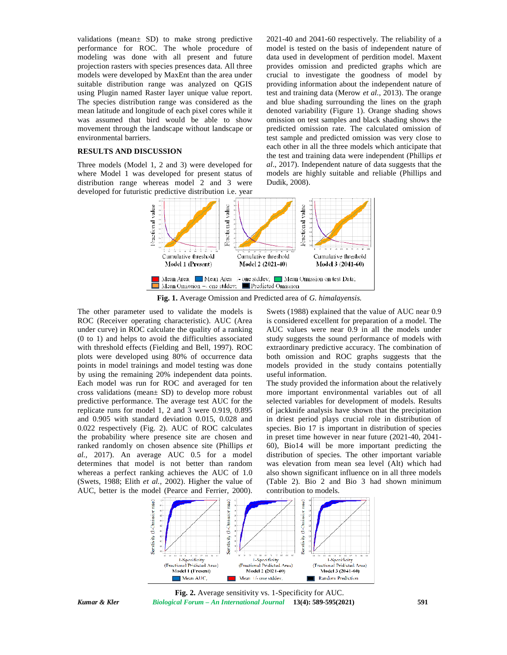validations (mean± SD) to make strong predictive performance for ROC. The whole procedure of modeling was done with all present and future projection rasters with species presences data. All three models were developed by MaxEnt than the area under suitable distribution range was analyzed on QGIS using Plugin named Raster layer unique value report. The species distribution range was considered as the mean latitude and longitude of each pixel cores while it was assumed that bird would be able to show movement through the landscape without landscape or environmental barriers.

# **RESULTS AND DISCUSSION**

Three models (Model 1, 2 and 3) were developed for where Model 1 was developed for present status of distribution range whereas model 2 and 3 were developed for futuristic predictive distribution i.e. year

2021-40 and 2041-60 respectively. The reliability of a model is tested on the basis of independent nature of data used in development of perdition model. Maxent provides omission and predicted graphs which are crucial to investigate the goodness of model by providing information about the independent nature of test and training data (Merow *et al.,* 2013). The orange and blue shading surrounding the lines on the graph denoted variability (Figure 1). Orange shading shows omission on test samples and black shading shows the predicted omission rate. The calculated omission of test sample and predicted omission was very close to each other in all the three models which anticipate that the test and training data were independent (Phillips *et al*., 2017). Independent nature of data suggests that the models are highly suitable and reliable (Phillips and Dudik, 2008).



**Fig. 1.** Average Omission and Predicted area of *G. himalayensis.*

The other parameter used to validate the models is ROC (Receiver operating characteristic). AUC (Area under curve) in ROC calculate the quality of a ranking (0 to 1) and helps to avoid the difficulties associated with threshold effects (Fielding and Bell, 1997). ROC plots were developed using 80% of occurrence data points in model trainings and model testing was done by using the remaining 20% independent data points. Each model was run for ROC and averaged for ten cross validations (mean± SD) to develop more robust predictive performance. The average test AUC for the replicate runs for model 1, 2 and 3 were 0.919, 0.895 and 0.905 with standard deviation 0.015, 0.028 and 0.022 respectively (Fig. 2). AUC of ROC calculates the probability where presence site are chosen and ranked randomly on chosen absence site (Phillips *et al.,* 2017). An average AUC 0.5 for a model determines that model is not better than random whereas a perfect ranking achieves the AUC of 1.0 (Swets, 1988; Elith *et al.,* 2002). Higher the value of AUC, better is the model (Pearce and Ferrier, 2000).

Swets (1988) explained that the value of AUC near 0.9 is considered excellent for preparation of a model. The AUC values were near 0.9 in all the models under study suggests the sound performance of models with extraordinary predictive accuracy. The combination of both omission and ROC graphs suggests that the models provided in the study contains potentially useful information.

The study provided the information about the relatively more important environmental variables out of all selected variables for development of models. Results of jackknife analysis have shown that the precipitation in driest period plays crucial role in distribution of species. Bio 17 is important in distribution of species in preset time however in near future (2021-40, 2041- 60), Bio14 will be more important predicting the distribution of species. The other important variable was elevation from mean sea level (Alt) which had also shown significant influence on in all three models (Table 2). Bio 2 and Bio 3 had shown minimum contribution to models.



*Kumar & Kler Biological Forum – An International Journal* **13(4): 589-595(2021) 591 Fig. 2.** Average sensitivity vs. 1-Specificity for AUC.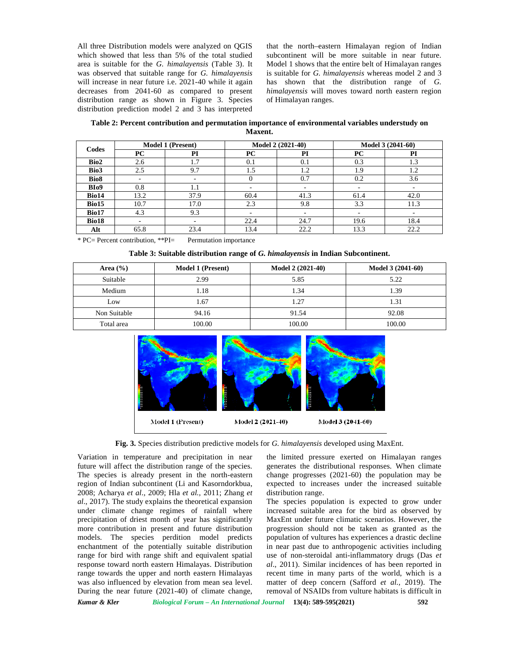All three Distribution models were analyzed on QGIS which showed that less than 5% of the total studied area is suitable for the *G. himalayensis* (Table 3). It was observed that suitable range for *G. himalayensis* will increase in near future i.e. 2021-40 while it again decreases from 2041-60 as compared to present distribution range as shown in Figure 3. Species distribution prediction model 2 and 3 has interpreted

that the north–eastern Himalayan region of Indian subcontinent will be more suitable in near future. Model 1 shows that the entire belt of Himalayan ranges is suitable for *G. himalayensis* whereas model 2 and 3 has shown that the distribution range of *G. himalayensis* will moves toward north eastern region of Himalayan ranges.

**Table 2: Percent contribution and permutation importance of environmental variables understudy on Maxent.**

| Codes            | <b>Model 1 (Present)</b> |      | Model 2 (2021-40) |      | Model 3 (2041-60) |      |
|------------------|--------------------------|------|-------------------|------|-------------------|------|
|                  | PС                       | PI   | PC                | PI   | PC                | PI   |
| Bio2             | 2.6                      | 1.7  | 0.1               | 0.1  | 0.3               | 1.3  |
| Bio3             | 2.5                      | 9.7  | 1.5               | 1.2  | 1.9               | 1.2  |
| Bio <sub>8</sub> | ۰                        | -    |                   | 0.7  | 0.2               | 3.6  |
| BI <sub>09</sub> | 0.8                      | 1.1  |                   |      |                   |      |
| Bio14            | 13.2                     | 37.9 | 60.4              | 41.3 | 61.4              | 42.0 |
| Bio15            | 10.7                     | 17.0 | 2.3               | 9.8  | 3.3               | 11.3 |
| Bio17            | 4.3                      | 9.3  |                   | ۰    |                   |      |
| Bio18            | ٠                        | ۰    | 22.4              | 24.7 | 19.6              | 18.4 |
| Alt              | 65.8                     | 23.4 | 13.4              | 22.2 | 13.3              | 22.2 |

\* PC= Percent contribution, \*\*PI= Permutation importance

**Table 3: Suitable distribution range of** *G. himalayensis* **in Indian Subcontinent.**

| Area $(\% )$ | <b>Model 1 (Present)</b> | Model 2 (2021-40) | Model 3 (2041-60) |
|--------------|--------------------------|-------------------|-------------------|
| Suitable     | 2.99                     | 5.85              | 5.22              |
| Medium       | 1.18                     | 1.34              | 1.39              |
| Low          | 1.67                     | 1.27              | 1.31              |
| Non Suitable | 94.16                    | 91.54             | 92.08             |
| Total area   | 100.00                   | 100.00            | 100.00            |



**Fig. 3.** Species distribution predictive models for *G. himalayensis* developed using MaxEnt.

Variation in temperature and precipitation in near future will affect the distribution range of the species. The species is already present in the north-eastern region of Indian subcontinent (Li and Kasorndorkbua, 2008; Acharya *et al*., 2009; Hla *et al.,* 2011; Zhang *et al*., 2017). The study explains the theoretical expansion under climate change regimes of rainfall where precipitation of driest month of year has significantly more contribution in present and future distribution models. The species perdition model predicts enchantment of the potentially suitable distribution range for bird with range shift and equivalent spatial response toward north eastern Himalayas. Distribution range towards the upper and north eastern Himalayas was also influenced by elevation from mean sea level. During the near future (2021-40) of climate change,

the limited pressure exerted on Himalayan ranges generates the distributional responses. When climate change progresses (2021-60) the population may be expected to increases under the increased suitable distribution range.

The species population is expected to grow under increased suitable area for the bird as observed by MaxEnt under future climatic scenarios. However, the progression should not be taken as granted as the population of vultures has experiences a drastic decline in near past due to anthropogenic activities including use of non-steroidal anti-inflammatory drugs (Das *et al*., 2011). Similar incidences of has been reported in recent time in many parts of the world, which is a matter of deep concern (Safford *et al.,* 2019). The removal of NSAIDs from vulture habitats is difficult in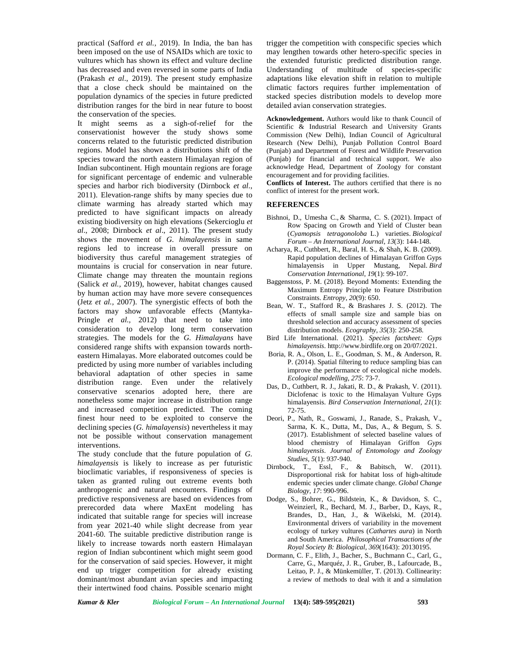practical (Safford *et al.,* 2019). In India, the ban has been imposed on the use of NSAIDs which are toxic to vultures which has shown its effect and vulture decline has decreased and even reversed in some parts of India (Prakash *et al*., 2019). The present study emphasize that a close check should be maintained on the population dynamics of the species in future predicted distribution ranges for the bird in near future to boost the conservation of the species.

It might seems as a sigh-of-relief for the conservationist however the study shows some concerns related to the futuristic predicted distribution regions. Model has shown a distributions shift of the species toward the north eastern Himalayan region of Indian subcontinent. High mountain regions are forage for significant percentage of endemic and vulnerable species and harbor rich biodiversity (Dirnbock *et al*., 2011). Elevation-range shifts by many species due to climate warming has already started which may predicted to have significant impacts on already existing biodiversity on high elevations (Sekercioglu *et al*., 2008; Dirnbock *et al*., 2011). The present study shows the movement of *G. himalayensis* in same regions led to increase in overall pressure on biodiversity thus careful management strategies of mountains is crucial for conservation in near future. Climate change may threaten the mountain regions (Salick *et al.,* 2019), however, habitat changes caused by human action may have more severe consequences (Jetz *et al.,* 2007). The synergistic effects of both the factors may show unfavorable effects (Mantyka- Pringle *et al.,* 2012) that need to take into consideration to develop long term conservation strategies. The models for the *G. Himalayans* have considered range shifts with expansion towards north eastern Himalayas. More elaborated outcomes could be predicted by using more number of variables including behavioral adaptation of other species in same distribution range. Even under the relatively conservative scenarios adopted here, there are nonetheless some major increase in distribution range and increased competition predicted. The coming finest hour need to be exploited to conserve the declining species (*G. himalayensis*) nevertheless it may not be possible without conservation management interventions.

The study conclude that the future population of *G. himalayensis* is likely to increase as per futuristic bioclimatic variables, if responsiveness of species is taken as granted ruling out extreme events both anthropogenic and natural encounters. Findings of predictive responsiveness are based on evidences from prerecorded data where MaxEnt modeling has indicated that suitable range for species will increase from year 2021-40 while slight decrease from year 2041-60. The suitable predictive distribution range is likely to increase towards north eastern Himalayan region of Indian subcontinent which might seem good for the conservation of said species. However, it might end up trigger competition for already existing dominant/most abundant avian species and impacting their intertwined food chains. Possible scenario might

trigger the competition with conspecific species which may lengthen towards other hetero-specific species in the extended futuristic predicted distribution range. Understanding of multitude of species-specific adaptations like elevation shift in relation to multiple climatic factors requires further implementation of stacked species distribution models to develop more detailed avian conservation strategies.

**Acknowledgement.** Authors would like to thank Council of Scientific & Industrial Research and University Grants Commission (New Delhi), Indian Council of Agricultural Research (New Delhi), Punjab Pollution Control Board (Punjab) and Department of Forest and Wildlife Preservation (Punjab) for financial and technical support. We also acknowledge Head, Department of Zoology for constant encouragement and for providing facilities.

**Conflicts of Interest.** The authors certified that there is no conflict of interest for the present work.

# **REFERENCES**

- Bishnoi, D., Umesha C., & Sharma, C. S. (2021). Impact of Row Spacing on Growth and Yield of Cluster bean (*Cyamopsis tetragonoloba* L.) varieties. *Biological Forum – An International Journal*, *13*(3): 144-148.
- Acharya, R., Cuthbert, R., Baral, H. S., & Shah, K. B. (2009). Rapid population declines of Himalayan Griffon Gyps himalayensis in Upper Mustang, Nepal. *Bird Conservation International*, *19*(1): 99-107.
- Baggenstoss, P. M. (2018). Beyond Moments: Extending the Maximum Entropy Principle to Feature Distribution Constraints. *Entropy*, *20*(9): 650.
- Bean, W. T., Stafford R., & Brashares J. S. (2012). The effects of small sample size and sample bias on threshold selection and accuracy assessment of species distribution models. *Ecography, 35*(3): 250-258.
- Bird Life International. (2021). *Species factsheet: Gyps himalayensis*. <http://www.birdlife.org>on 20/07/2021.
- Boria, R. A., Olson, L. E., Goodman, S. M., & Anderson, R. P. (2014). Spatial filtering to reduce sampling bias can improve the performance of ecological niche models. *Ecological modelling*, *275*: 73-7.
- Das, D., Cuthbert, R. J., Jakati, R. D., & Prakash, V. (2011). Diclofenac is toxic to the Himalayan Vulture Gyps himalayensis. *Bird Conservation International, 21*(1): 72-75.
- Deori, P., Nath, R., Goswami, J., Ranade, S., Prakash, V., Sarma, K. K., Dutta, M., Das, A., & Begum, S. S. (2017). Establishment of selected baseline values of blood chemistry of Himalayan Griffon *Gyps himalayensis*. *Journal of Entomology and Zoology Studies, 5*(1): 937-940.
- Dirnbock, T., Essl, F., & Babitsch, W. (2011). Disproportional risk for habitat loss of high-altitude endemic species under climate change. *Global Change Biology, 17*: 990-996.
- Dodge, S., Bohrer, G., Bildstein, K., & Davidson, S. C., Weinzierl, R., Bechard, M. J., Barber, D., Kays, R., Brandes, D., Han, J., & Wikelski, M. (2014). Environmental drivers of variability in the movement ecology of turkey vultures (*Cathartes aura*) in North and South America. *Philosophical Transactions of the Royal Society B: Biological, 369*(1643): 20130195.
- Dormann, C. F., Elith, J., Bacher, S., Buchmann C., Carl, G., Carre, G., Marquéz, J. R., Gruber, B., Lafourcade, B., Leitao, P. J., & Münkemüller, T. (2013). Collinearity: a review of methods to deal with it and a simulation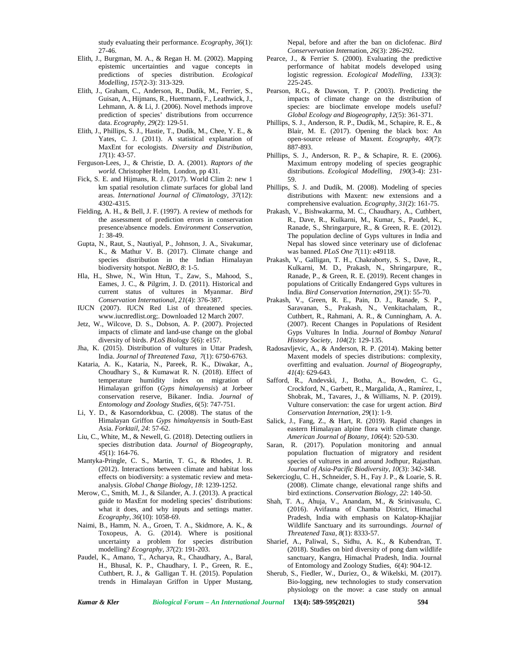study evaluating their performance. *Ecograph*y, *36*(1): 27-46.

- Elith, J., Burgman, M. A., & Regan H. M. (2002). Mapping epistemic uncertainties and vague concepts in predictions of species distribution. *Ecological Modelling, 157*(2-3): 313-329.
- Elith, J., Graham, C., Anderson, R., Dudík, M., Ferrier, S., Guisan, A., Hijmans, R., Huettmann, F., Leathwick, J., Lehmann, A. & Li, J. (2006). Novel methods improve prediction of species' distributions from occurrence data. *Ecography, 29*(2): 129-51.
- Elith, J., Phillips, S. J., Hastie, T., Dudík, M., Chee, Y. E., & Yates, C. J. (2011). A statistical explanation of MaxEnt for ecologists. *Diversity and Distribution, 17*(1): 43-57.
- Ferguson-Lees, J., & Christie, D. A. (2001). *Raptors of the world.* Christopher Helm, London, pp 431.
- Fick, S. E. and Hijmans, R. J. (2017). World Clim 2: new 1 km spatial resolution climate surfaces for global land areas. *International Journal of Climatology*, *37*(12): 4302-4315.
- Fielding, A. H., & Bell, J. F.(1997). A review of methods for the assessment of prediction errors in conservation presence/absence models. *Environment Conservation, 1*: 38-49.
- Gupta, N., Raut, S., Nautiyal, P., Johnson, J. A., Sivakumar, K., & Mathur V. B. (2017). Climate change and species distribution in the Indian Himalayan biodiversity hotspot. *NeBIO, 8*: 1-5.
- Hla, H., Shwe, N., Win Htun, T., Zaw, S., Mahood, S., Eames, J. C., & Pilgrim, J. D. (2011). Historical and current status of vultures in Myanmar. *Bird Conservation International*, *21*(4): 376-387.
- IUCN (2007). IUCN Red List of threatened species. [www.iucnredlist.org;](www.iucnredlist.org). Downloaded 12 March 2007.
- Jetz, W., Wilcove, D. S., Dobson, A. P. (2007). Projected impacts of climate and land-use change on the global diversity of birds. *PLoS Biol*ogy *5*(6): e157.
- Jha, K. (2015). Distribution of vultures in Uttar Pradesh, India. *Journal of Threatened Taxa, 7*(1): 6750-6763.
- Kataria, A. K., Kataria, N., Pareek, R. K., Diwakar, A., Choudhary S., & Kumawat R. N. (2018). Effect of temperature humidity index on migration of Himalayan griffon (*Gyps himalayensis*) at Jorbeer conservation reserve, Bikaner. India. *Journal of Entomology and Zoology Studies, 6*(5): 747-751.
- Li, Y. D., & Kasorndorkbua, C. (2008). The status of the Himalayan Griffon *Gyps himalayensis* in South-East Asia. *Forktail, 24*: 57-62.
- Liu, C., White, M., & Newell, G. (2018). Detecting outliers in species distribution data. *Journal of Biogeography, 45*(1): 164-76.
- Mantyka-Pringle, C. S., Martin, T. G., & Rhodes, J. R. (2012). Interactions between climate and habitat loss effects on biodiversity: a systematic review and meta analysis. *Global Change Biology*, *18*: 1239-1252.
- Merow, C., Smith, M. J., & Silander, A. J. (2013). A practical guide to MaxEnt for modeling species' distributions: what it does, and why inputs and settings matter. *Ecography, 36*(10): 1058-69.
- Naimi, B., Hamm, N. A., Groen, T. A., Skidmore, A. K., & Toxopeus, A. G. (2014). Where is positional uncertainty a problem for species distribution modelling? *Ecography, 37*(2): 191-203.
- Paudel, K., Amano, T., Acharya, R., Chaudhary, A., Baral, H., Bhusal, K. P., Chaudhary, I. P., Green, R. E., Cuthbert, R. J., & Galligan T. H. (2015). Population trends in Himalayan Griffon in Upper Mustang,

Nepal, before and after the ban on diclofenac. *Bird Conservervation Int*ernation, *26*(3): 286-292.

- Pearce, J., & Ferrier S. (2000). Evaluating the predictive performance of habitat models developed using logistic regression. *Ecological Modelling, 133*(3): 225-245.
- Pearson, R.G., & Dawson, T. P. (2003). Predicting the impacts of climate change on the distribution of species: are bioclimate envelope models useful? *Global Ecology and Biogeography*, *12*(5): 361-371.
- Phillips, S. J., Anderson, R. P., Dudík, M., Schapire, R. E., & Blair, M. E. (2017). Opening the black box: An open‐source release of Maxent. *Ecography*, *40*(7): 887-893.
- Phillips, S. J., Anderson, R. P., & Schapire, R. E. (2006). Maximum entropy modeling of species geographic distributions. *Ecological Modelling, 190*(3-4): 231- 59.
- Phillips, S. J. and Dudík, M. (2008). Modeling of species distributions with Maxent: new extensions and a comprehensive evaluation. *Ecography, 31*(2): 161-75.
- Prakash, V., Bishwakarma, M. C., Chaudhary, A., Cuthbert, R., Dave, R., Kulkarni, M., Kumar, S., Paudel, K., Ranade, S., Shringarpure, R., & Green, R. E. (2012). The population decline of Gyps vultures in India and Nepal has slowed since veterinary use of diclofenac was banned. *PLoS One 7*(11): e49118.
- Prakash, V., Galligan, T. H., Chakraborty, S. S., Dave, R., Kulkarni, M. D., Prakash, N., Shringarpure, R., Ranade, P., & Green, R. E. (2019). Recent changes in populations of Critically Endangered Gyps vultures in India*. Bird Conservation Internation*, *29*(1): 55-70.
- Prakash, V., Green, R. E., Pain, D. J., Ranade, S. P., Saravanan, S., Prakash, N., Venkitachalam, R., Cuthbert, R., Rahmani, A. R., & Cunningham, A. A. (2007). Recent Changes in Populations of Resident Gyps Vultures In India. *Journal* of *Bombay Natural History Society, 104*(2): 129-135.
- Radosavljevic, A., & Anderson, R. P. (2014). Making better Maxent models of species distributions: complexity, overfitting and evaluation. *Journal of Biogeography, 41*(4): 629-643.
- Safford, R., Andevski, J., Botha, A., Bowden, C. G., Crockford, N., Garbett, R., Margalida, A., Ramírez, I., Shobrak, M., Tavares, J., & Williams, N. P. (2019). Vulture conservation: the case for urgent action. *Bird Conservation Internation*, *29*(1): 1-9.
- Salick, J., Fang, Z., & Hart, R. (2019). Rapid changes in eastern Himalayan alpine flora with climate change. *American Journal of Botany, 106*(4): 520-530.
- Saran, R. (2017). Population monitoring and annual population fluctuation of migratory and resident species of vultures in and around Jodhpur, Rajasthan. *Journal of Asia-Pacific Biodiversity, 10*(3): 342-348.
- Sekercioglu, C. H., Schneider, S. H., Fay J. P., & Loarie, S.R. (2008). Climate change, elevational range shifts and bird extinctions. *Conservation Biology, 22*: 140-50.
- Shah, T. A., Ahuja, V., Anandam, M., & Srinivasulu, C. (2016). Avifauna of Chamba District, Himachal Pradesh, India with emphasis on Kalatop-Khajjiar Wildlife Sanctuary and its surroundings. *Journal of Threatened Taxa, 8*(1): 8333-57.
- Sharief, A., Paliwal, S., Sidhu, A. K., & Kubendran, T. (2018). Studies on bird diversity of pong dam wildlife sanctuary, Kangra, Himachal Pradesh, India. Journal of Entomology and Zoology Studies, *6*(4): 904-12.
- Sherub, S., Fiedler, W., Duriez, O., & Wikelski, M. (2017). Bio-logging, new technologies to study conservation physiology on the move: a case study on annual